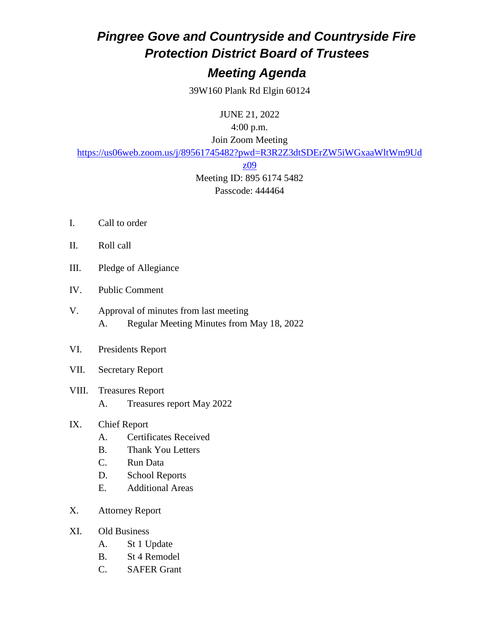## *Pingree Gove and Countryside and Countryside Fire Protection District Board of Trustees*

### *Meeting Agenda*

39W160 Plank Rd Elgin 60124

JUNE 21, 2022

4:00 p.m.

Join Zoom Meeting

[https://us06web.zoom.us/j/89561745482?pwd=R3R2Z3dtSDErZW5iWGxaaWltWm9Ud](https://us06web.zoom.us/j/89561745482?pwd=R3R2Z3dtSDErZW5iWGxaaWltWm9Udz09)

#### [z09](https://us06web.zoom.us/j/89561745482?pwd=R3R2Z3dtSDErZW5iWGxaaWltWm9Udz09)

Meeting ID: 895 6174 5482 Passcode: 444464

- I. Call to order
- II. Roll call
- III. Pledge of Allegiance
- IV. Public Comment
- V. Approval of minutes from last meeting A. Regular Meeting Minutes from May 18, 2022
- VI. Presidents Report
- VII. Secretary Report
- VIII. Treasures Report A. Treasures report May 2022
- IX. Chief Report
	- A. Certificates Received
	- B. Thank You Letters
	- C. Run Data
	- D. School Reports
	- E. Additional Areas
- X. Attorney Report
- XI. Old Business
	- A. St 1 Update
	- B. St 4 Remodel
	- C. SAFER Grant